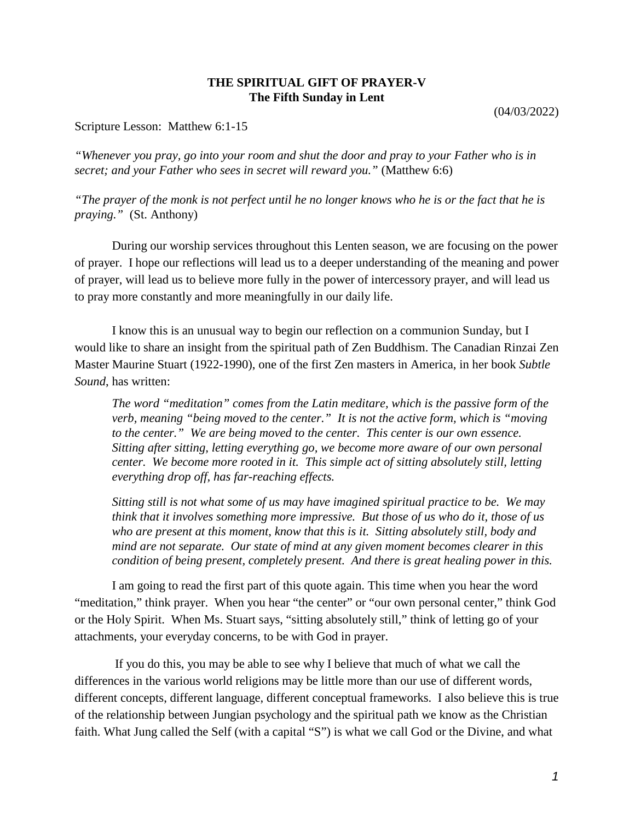## **THE SPIRITUAL GIFT OF PRAYER-V The Fifth Sunday in Lent**

(04/03/2022)

Scripture Lesson: Matthew 6:1-15

*"Whenever you pray, go into your room and shut the door and pray to your Father who is in secret; and your Father who sees in secret will reward you."* (Matthew 6:6)

*"The prayer of the monk is not perfect until he no longer knows who he is or the fact that he is praying."* (St. Anthony)

During our worship services throughout this Lenten season, we are focusing on the power of prayer. I hope our reflections will lead us to a deeper understanding of the meaning and power of prayer, will lead us to believe more fully in the power of intercessory prayer, and will lead us to pray more constantly and more meaningfully in our daily life.

I know this is an unusual way to begin our reflection on a communion Sunday, but I would like to share an insight from the spiritual path of Zen Buddhism. The Canadian Rinzai Zen Master Maurine Stuart (1922-1990), one of the first Zen masters in America, in her book *Subtle Sound*, has written:

*The word "meditation" comes from the Latin meditare, which is the passive form of the verb, meaning "being moved to the center." It is not the active form, which is "moving to the center." We are being moved to the center. This center is our own essence. Sitting after sitting, letting everything go, we become more aware of our own personal center. We become more rooted in it. This simple act of sitting absolutely still, letting everything drop off, has far-reaching effects.*

*Sitting still is not what some of us may have imagined spiritual practice to be. We may think that it involves something more impressive. But those of us who do it, those of us who are present at this moment, know that this is it. Sitting absolutely still, body and mind are not separate. Our state of mind at any given moment becomes clearer in this condition of being present, completely present. And there is great healing power in this.*

I am going to read the first part of this quote again. This time when you hear the word "meditation," think prayer. When you hear "the center" or "our own personal center," think God or the Holy Spirit. When Ms. Stuart says, "sitting absolutely still," think of letting go of your attachments, your everyday concerns, to be with God in prayer.

If you do this, you may be able to see why I believe that much of what we call the differences in the various world religions may be little more than our use of different words, different concepts, different language, different conceptual frameworks. I also believe this is true of the relationship between Jungian psychology and the spiritual path we know as the Christian faith. What Jung called the Self (with a capital "S") is what we call God or the Divine, and what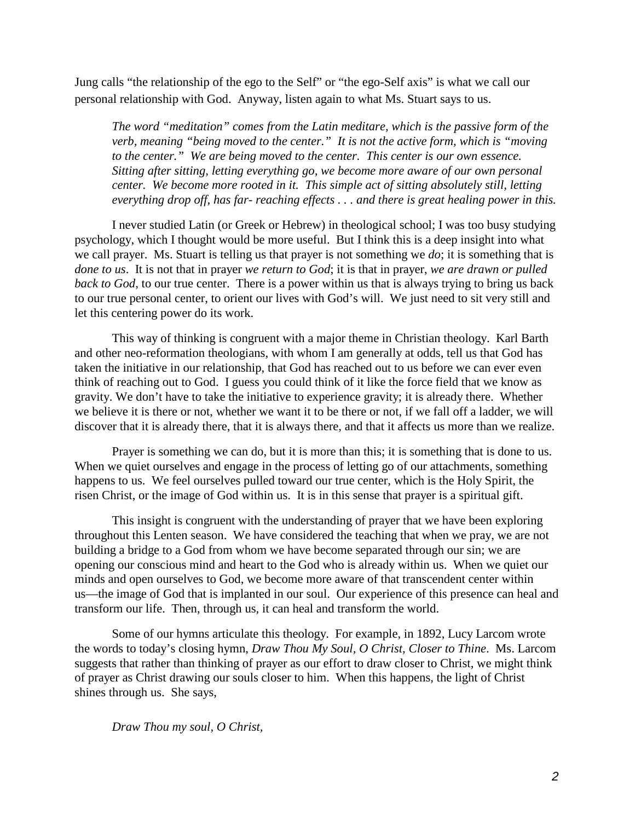Jung calls "the relationship of the ego to the Self" or "the ego-Self axis" is what we call our personal relationship with God. Anyway, listen again to what Ms. Stuart says to us.

*The word "meditation" comes from the Latin meditare, which is the passive form of the verb, meaning "being moved to the center." It is not the active form, which is "moving to the center." We are being moved to the center. This center is our own essence. Sitting after sitting, letting everything go, we become more aware of our own personal center. We become more rooted in it. This simple act of sitting absolutely still, letting everything drop off, has far- reaching effects . . . and there is great healing power in this.*

I never studied Latin (or Greek or Hebrew) in theological school; I was too busy studying psychology, which I thought would be more useful. But I think this is a deep insight into what we call prayer. Ms. Stuart is telling us that prayer is not something we *do*; it is something that is *done to us*. It is not that in prayer *we return to God*; it is that in prayer, *we are drawn or pulled back to God*, to our true center. There is a power within us that is always trying to bring us back to our true personal center, to orient our lives with God's will. We just need to sit very still and let this centering power do its work.

This way of thinking is congruent with a major theme in Christian theology. Karl Barth and other neo-reformation theologians, with whom I am generally at odds, tell us that God has taken the initiative in our relationship, that God has reached out to us before we can ever even think of reaching out to God. I guess you could think of it like the force field that we know as gravity. We don't have to take the initiative to experience gravity; it is already there. Whether we believe it is there or not, whether we want it to be there or not, if we fall off a ladder, we will discover that it is already there, that it is always there, and that it affects us more than we realize.

Prayer is something we can do, but it is more than this; it is something that is done to us. When we quiet ourselves and engage in the process of letting go of our attachments, something happens to us. We feel ourselves pulled toward our true center, which is the Holy Spirit, the risen Christ, or the image of God within us. It is in this sense that prayer is a spiritual gift.

This insight is congruent with the understanding of prayer that we have been exploring throughout this Lenten season. We have considered the teaching that when we pray, we are not building a bridge to a God from whom we have become separated through our sin; we are opening our conscious mind and heart to the God who is already within us. When we quiet our minds and open ourselves to God, we become more aware of that transcendent center within us—the image of God that is implanted in our soul. Our experience of this presence can heal and transform our life. Then, through us, it can heal and transform the world.

Some of our hymns articulate this theology. For example, in 1892, Lucy Larcom wrote the words to today's closing hymn, *Draw Thou My Soul, O Christ, Closer to Thine*. Ms. Larcom suggests that rather than thinking of prayer as our effort to draw closer to Christ, we might think of prayer as Christ drawing our souls closer to him. When this happens, the light of Christ shines through us. She says,

*Draw Thou my soul, O Christ,*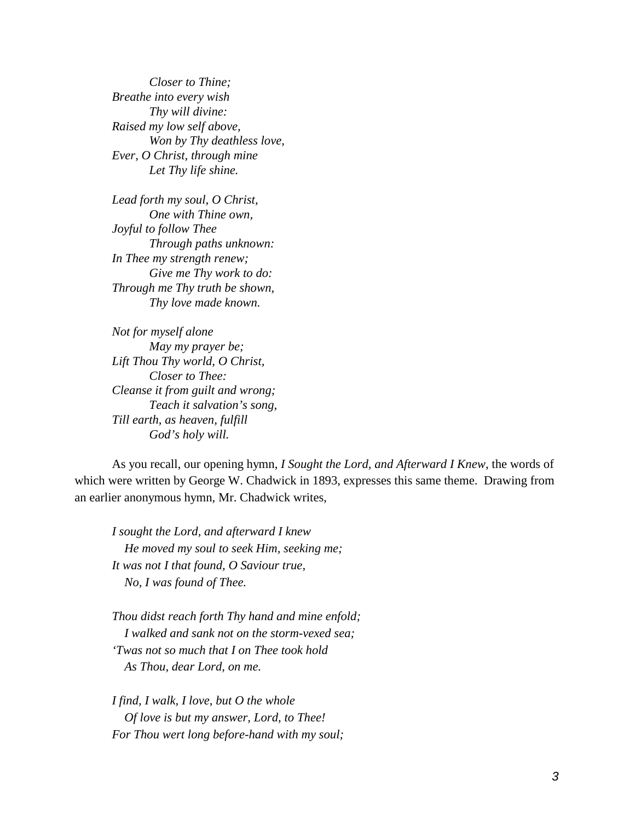*Closer to Thine; Breathe into every wish Thy will divine: Raised my low self above, Won by Thy deathless love, Ever, O Christ, through mine Let Thy life shine.*

*Lead forth my soul, O Christ, One with Thine own, Joyful to follow Thee Through paths unknown: In Thee my strength renew; Give me Thy work to do: Through me Thy truth be shown, Thy love made known.*

*Not for myself alone May my prayer be; Lift Thou Thy world, O Christ, Closer to Thee: Cleanse it from guilt and wrong; Teach it salvation's song, Till earth, as heaven, fulfill God's holy will.*

As you recall, our opening hymn, *I Sought the Lord, and Afterward I Knew*, the words of which were written by George W. Chadwick in 1893, expresses this same theme. Drawing from an earlier anonymous hymn, Mr. Chadwick writes,

*I sought the Lord, and afterward I knew He moved my soul to seek Him, seeking me; It was not I that found, O Saviour true, No, I was found of Thee.*

*Thou didst reach forth Thy hand and mine enfold; I walked and sank not on the storm-vexed sea; 'Twas not so much that I on Thee took hold As Thou, dear Lord, on me.*

*I find, I walk, I love, but O the whole Of love is but my answer, Lord, to Thee! For Thou wert long before-hand with my soul;*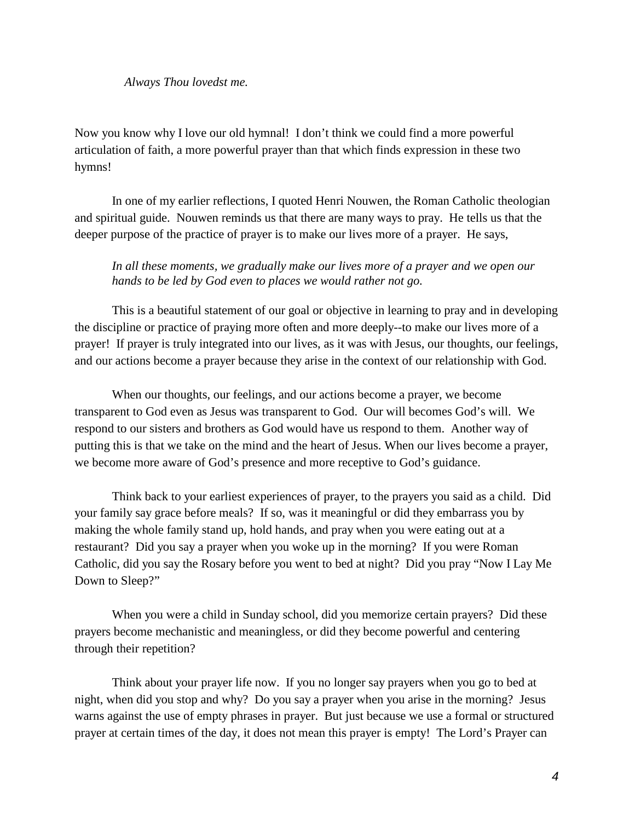## *Always Thou lovedst me.*

Now you know why I love our old hymnal! I don't think we could find a more powerful articulation of faith, a more powerful prayer than that which finds expression in these two hymns!

In one of my earlier reflections, I quoted Henri Nouwen, the Roman Catholic theologian and spiritual guide. Nouwen reminds us that there are many ways to pray. He tells us that the deeper purpose of the practice of prayer is to make our lives more of a prayer. He says,

*In all these moments, we gradually make our lives more of a prayer and we open our hands to be led by God even to places we would rather not go.*

This is a beautiful statement of our goal or objective in learning to pray and in developing the discipline or practice of praying more often and more deeply--to make our lives more of a prayer! If prayer is truly integrated into our lives, as it was with Jesus, our thoughts, our feelings, and our actions become a prayer because they arise in the context of our relationship with God.

When our thoughts, our feelings, and our actions become a prayer, we become transparent to God even as Jesus was transparent to God. Our will becomes God's will. We respond to our sisters and brothers as God would have us respond to them. Another way of putting this is that we take on the mind and the heart of Jesus. When our lives become a prayer, we become more aware of God's presence and more receptive to God's guidance.

Think back to your earliest experiences of prayer, to the prayers you said as a child. Did your family say grace before meals? If so, was it meaningful or did they embarrass you by making the whole family stand up, hold hands, and pray when you were eating out at a restaurant? Did you say a prayer when you woke up in the morning? If you were Roman Catholic, did you say the Rosary before you went to bed at night? Did you pray "Now I Lay Me Down to Sleep?"

When you were a child in Sunday school, did you memorize certain prayers? Did these prayers become mechanistic and meaningless, or did they become powerful and centering through their repetition?

Think about your prayer life now. If you no longer say prayers when you go to bed at night, when did you stop and why? Do you say a prayer when you arise in the morning? Jesus warns against the use of empty phrases in prayer. But just because we use a formal or structured prayer at certain times of the day, it does not mean this prayer is empty! The Lord's Prayer can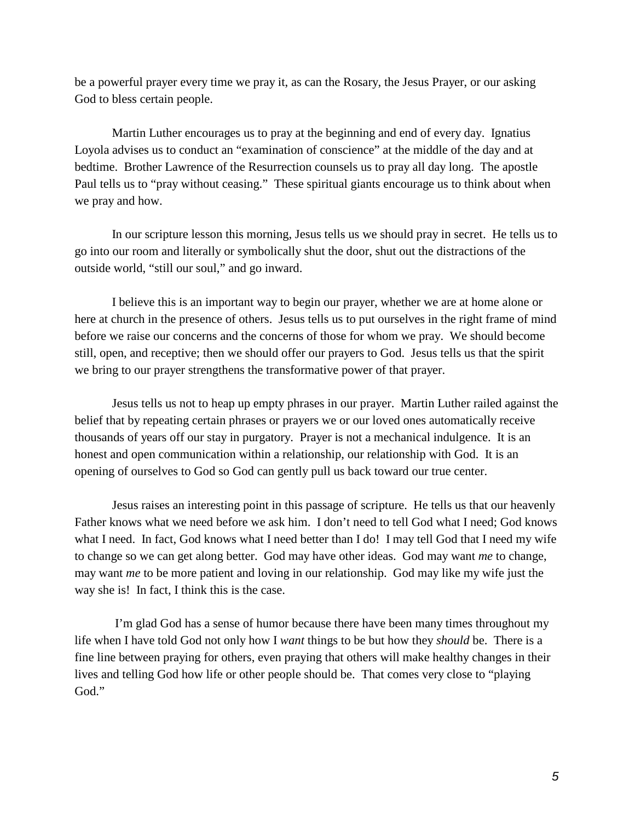be a powerful prayer every time we pray it, as can the Rosary, the Jesus Prayer, or our asking God to bless certain people.

Martin Luther encourages us to pray at the beginning and end of every day. Ignatius Loyola advises us to conduct an "examination of conscience" at the middle of the day and at bedtime. Brother Lawrence of the Resurrection counsels us to pray all day long. The apostle Paul tells us to "pray without ceasing." These spiritual giants encourage us to think about when we pray and how.

In our scripture lesson this morning, Jesus tells us we should pray in secret. He tells us to go into our room and literally or symbolically shut the door, shut out the distractions of the outside world, "still our soul," and go inward.

I believe this is an important way to begin our prayer, whether we are at home alone or here at church in the presence of others. Jesus tells us to put ourselves in the right frame of mind before we raise our concerns and the concerns of those for whom we pray. We should become still, open, and receptive; then we should offer our prayers to God. Jesus tells us that the spirit we bring to our prayer strengthens the transformative power of that prayer.

Jesus tells us not to heap up empty phrases in our prayer. Martin Luther railed against the belief that by repeating certain phrases or prayers we or our loved ones automatically receive thousands of years off our stay in purgatory. Prayer is not a mechanical indulgence. It is an honest and open communication within a relationship, our relationship with God. It is an opening of ourselves to God so God can gently pull us back toward our true center.

Jesus raises an interesting point in this passage of scripture. He tells us that our heavenly Father knows what we need before we ask him. I don't need to tell God what I need; God knows what I need. In fact, God knows what I need better than I do! I may tell God that I need my wife to change so we can get along better. God may have other ideas. God may want *me* to change, may want *me* to be more patient and loving in our relationship. God may like my wife just the way she is! In fact, I think this is the case.

I'm glad God has a sense of humor because there have been many times throughout my life when I have told God not only how I *want* things to be but how they *should* be. There is a fine line between praying for others, even praying that others will make healthy changes in their lives and telling God how life or other people should be. That comes very close to "playing God."